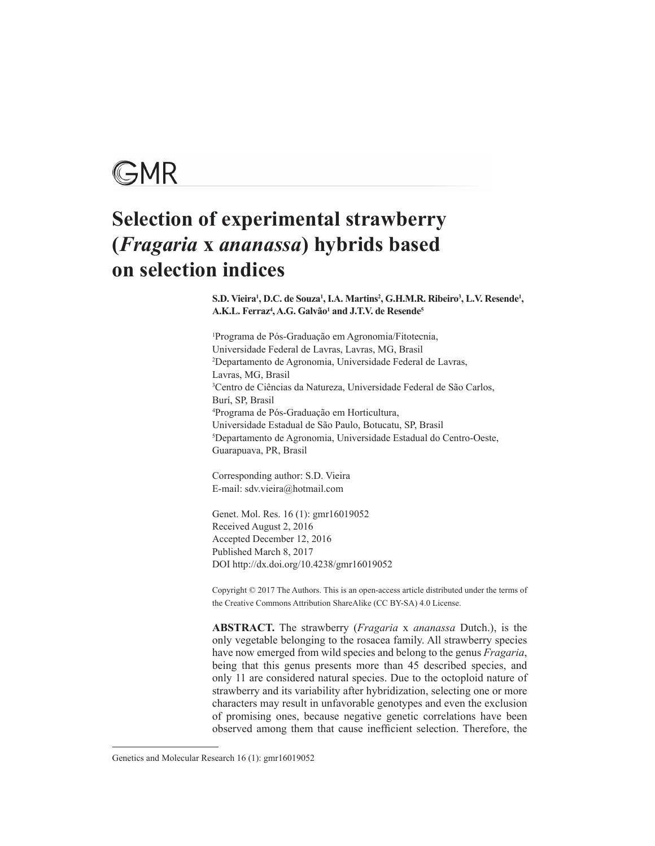# GMR

# **Selection of experimental strawberry (***Fragaria* **x** *ananassa***) hybrids based on selection indices**

S.D. Vieira<sup>1</sup>, D.C. de Souza<sup>1</sup>, I.A. Martins<sup>2</sup>, G.H.M.R. Ribeiro<sup>3</sup>, L.V. Resende<sup>1</sup>, A.K.L. Ferraz<sup>4</sup>, A.G. Galvão<sup>1</sup> and J.T.V. de Resende<sup>5</sup>

1 Programa de Pós-Graduação em Agronomia/Fitotecnia, Universidade Federal de Lavras, Lavras, MG, Brasil 2 Departamento de Agronomia, Universidade Federal de Lavras, Lavras, MG, Brasil 3 Centro de Ciências da Natureza, Universidade Federal de São Carlos, Burí, SP, Brasil 4 Programa de Pós-Graduação em Horticultura, Universidade Estadual de São Paulo, Botucatu, SP, Brasil 5 Departamento de Agronomia, Universidade Estadual do Centro-Oeste, Guarapuava, PR, Brasil

Corresponding author: S.D. Vieira E-mail: sdv.vieira@hotmail.com

Genet. Mol. Res. 16 (1): gmr16019052 Received August 2, 2016 Accepted December 12, 2016 Published March 8, 2017 DOI http://dx.doi.org/10.4238/gmr16019052

Copyright © 2017 The Authors. This is an open-access article distributed under the terms of the Creative Commons Attribution ShareAlike (CC BY-SA) 4.0 License.

**ABSTRACT.** The strawberry (*Fragaria* x *ananassa* Dutch.), is the only vegetable belonging to the rosacea family. All strawberry species have now emerged from wild species and belong to the genus *Fragaria*, being that this genus presents more than 45 described species, and only 11 are considered natural species. Due to the octoploid nature of strawberry and its variability after hybridization, selecting one or more characters may result in unfavorable genotypes and even the exclusion of promising ones, because negative genetic correlations have been observed among them that cause inefficient selection. Therefore, the

Genetics and Molecular Research 16 (1): gmr16019052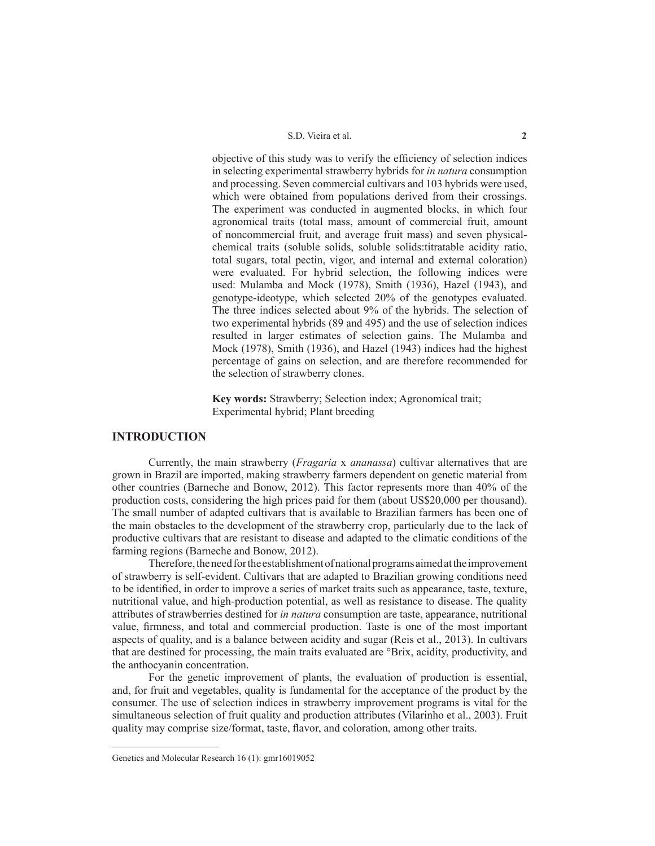objective of this study was to verify the efficiency of selection indices in selecting experimental strawberry hybrids for *in natura* consumption and processing. Seven commercial cultivars and 103 hybrids were used, which were obtained from populations derived from their crossings. The experiment was conducted in augmented blocks, in which four agronomical traits (total mass, amount of commercial fruit, amount of noncommercial fruit, and average fruit mass) and seven physicalchemical traits (soluble solids, soluble solids:titratable acidity ratio, total sugars, total pectin, vigor, and internal and external coloration) were evaluated. For hybrid selection, the following indices were used: Mulamba and Mock (1978), Smith (1936), Hazel (1943), and genotype-ideotype, which selected 20% of the genotypes evaluated. The three indices selected about 9% of the hybrids. The selection of two experimental hybrids (89 and 495) and the use of selection indices resulted in larger estimates of selection gains. The Mulamba and Mock (1978), Smith (1936), and Hazel (1943) indices had the highest percentage of gains on selection, and are therefore recommended for the selection of strawberry clones.

**Key words:** Strawberry; Selection index; Agronomical trait; Experimental hybrid; Plant breeding

# **INTRODUCTION**

Currently, the main strawberry (*Fragaria* x *ananassa*) cultivar alternatives that are grown in Brazil are imported, making strawberry farmers dependent on genetic material from other countries (Barneche and Bonow, 2012). This factor represents more than 40% of the production costs, considering the high prices paid for them (about US\$20,000 per thousand). The small number of adapted cultivars that is available to Brazilian farmers has been one of the main obstacles to the development of the strawberry crop, particularly due to the lack of productive cultivars that are resistant to disease and adapted to the climatic conditions of the farming regions (Barneche and Bonow, 2012).

Therefore, the need for the establishment of national programs aimed at the improvement of strawberry is self-evident. Cultivars that are adapted to Brazilian growing conditions need to be identified, in order to improve a series of market traits such as appearance, taste, texture, nutritional value, and high-production potential, as well as resistance to disease. The quality attributes of strawberries destined for *in natura* consumption are taste, appearance, nutritional value, firmness, and total and commercial production. Taste is one of the most important aspects of quality, and is a balance between acidity and sugar (Reis et al., 2013). In cultivars that are destined for processing, the main traits evaluated are °Brix, acidity, productivity, and the anthocyanin concentration.

For the genetic improvement of plants, the evaluation of production is essential, and, for fruit and vegetables, quality is fundamental for the acceptance of the product by the consumer. The use of selection indices in strawberry improvement programs is vital for the simultaneous selection of fruit quality and production attributes (Vilarinho et al., 2003). Fruit quality may comprise size/format, taste, flavor, and coloration, among other traits.

Genetics and Molecular Research 16 (1): gmr16019052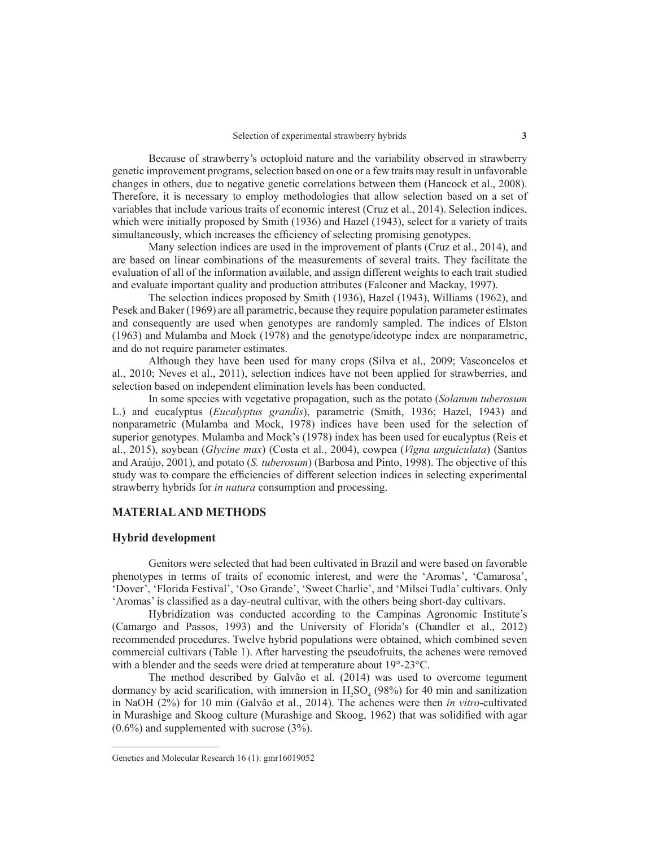Because of strawberry's octoploid nature and the variability observed in strawberry genetic improvement programs, selection based on one or a few traits may result in unfavorable changes in others, due to negative genetic correlations between them (Hancock et al., 2008). Therefore, it is necessary to employ methodologies that allow selection based on a set of variables that include various traits of economic interest (Cruz et al., 2014). Selection indices, which were initially proposed by Smith (1936) and Hazel (1943), select for a variety of traits simultaneously, which increases the efficiency of selecting promising genotypes.

Many selection indices are used in the improvement of plants (Cruz et al., 2014), and are based on linear combinations of the measurements of several traits. They facilitate the evaluation of all of the information available, and assign different weights to each trait studied and evaluate important quality and production attributes (Falconer and Mackay, 1997).

The selection indices proposed by Smith (1936), Hazel (1943), Williams (1962), and Pesek and Baker (1969) are all parametric, because they require population parameter estimates and consequently are used when genotypes are randomly sampled. The indices of Elston (1963) and Mulamba and Mock (1978) and the genotype/ideotype index are nonparametric, and do not require parameter estimates.

Although they have been used for many crops (Silva et al., 2009; Vasconcelos et al., 2010; Neves et al., 2011), selection indices have not been applied for strawberries, and selection based on independent elimination levels has been conducted.

In some species with vegetative propagation, such as the potato (*Solanum tuberosum* L.) and eucalyptus (*Eucalyptus grandis*), parametric (Smith, 1936; Hazel, 1943) and nonparametric (Mulamba and Mock, 1978) indices have been used for the selection of superior genotypes. Mulamba and Mock's (1978) index has been used for eucalyptus (Reis et al., 2015), soybean (*Glycine max*) (Costa et al., 2004), cowpea (*Vigna unguiculata*) (Santos and Araújo, 2001), and potato (*S. tuberosum*) (Barbosa and Pinto, 1998). The objective of this study was to compare the efficiencies of different selection indices in selecting experimental strawberry hybrids for *in natura* consumption and processing.

# **MATERIAL AND METHODS**

#### **Hybrid development**

Genitors were selected that had been cultivated in Brazil and were based on favorable phenotypes in terms of traits of economic interest, and were the 'Aromas', 'Camarosa', 'Dover', 'Florida Festival', 'Oso Grande', 'Sweet Charlie', and 'Milsei Tudla' cultivars. Only 'Aromas' is classified as a day-neutral cultivar, with the others being short-day cultivars.

Hybridization was conducted according to the Campinas Agronomic Institute's (Camargo and Passos, 1993) and the University of Florida's (Chandler et al., 2012) recommended procedures. Twelve hybrid populations were obtained, which combined seven commercial cultivars (Table 1). After harvesting the pseudofruits, the achenes were removed with a blender and the seeds were dried at temperature about 19°-23°C.

The method described by Galvão et al. (2014) was used to overcome tegument dormancy by acid scarification, with immersion in  $H_2SO_4(98%)$  for 40 min and sanitization in NaOH (2%) for 10 min (Galvão et al., 2014). The achenes were then *in vitro*-cultivated in Murashige and Skoog culture (Murashige and Skoog, 1962) that was solidified with agar  $(0.6\%)$  and supplemented with sucrose  $(3\%)$ .

Genetics and Molecular Research 16 (1): gmr16019052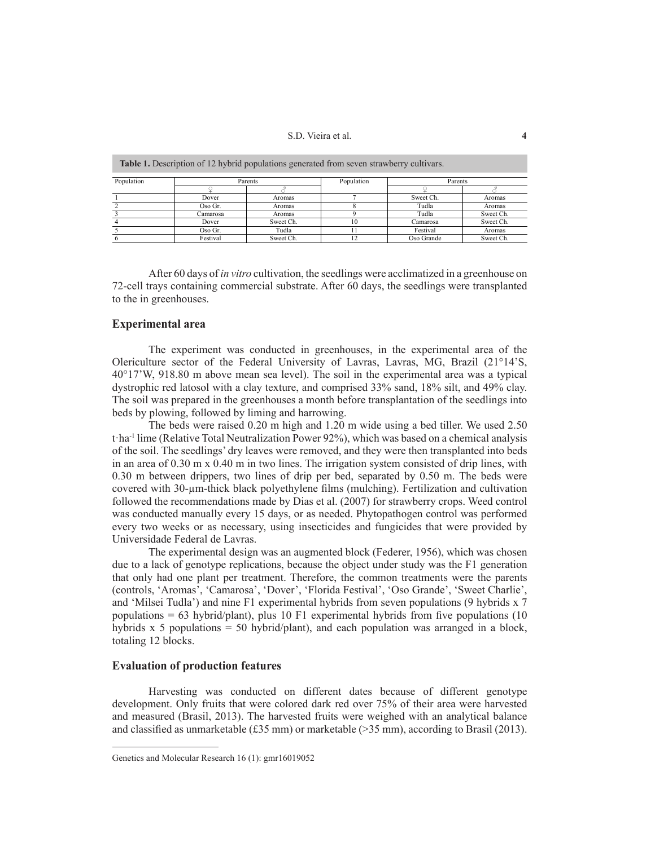| S.D. Vieira et al. |  |
|--------------------|--|
|                    |  |

| <b>Table 1.</b> Description of 12 hybrid populations generated from seven strawberry cultivars. |          |           |            |            |           |  |  |  |  |
|-------------------------------------------------------------------------------------------------|----------|-----------|------------|------------|-----------|--|--|--|--|
| Population                                                                                      |          | Parents   | Population | Parents    |           |  |  |  |  |
|                                                                                                 |          |           |            |            |           |  |  |  |  |
|                                                                                                 | Dover    | Aromas    |            | Sweet Ch.  | Aromas    |  |  |  |  |
|                                                                                                 | Oso Gr.  | Aromas    |            | Tudla      | Aromas    |  |  |  |  |
|                                                                                                 | Camarosa | Aromas    |            | Tudla      | Sweet Ch. |  |  |  |  |
|                                                                                                 | Dover    | Sweet Ch. |            | Camarosa   | Sweet Ch. |  |  |  |  |
|                                                                                                 | Oso Gr.  | Tudla     |            | Festival   | Aromas    |  |  |  |  |
|                                                                                                 | Festival | Sweet Ch. |            | Oso Grande | Sweet Ch. |  |  |  |  |

After 60 days of *in vitro* cultivation, the seedlings were acclimatized in a greenhouse on 72-cell trays containing commercial substrate. After 60 days, the seedlings were transplanted to the in greenhouses.

#### **Experimental area**

The experiment was conducted in greenhouses, in the experimental area of the Olericulture sector of the Federal University of Lavras, Lavras, MG, Brazil (21°14'S, 40°17'W, 918.80 m above mean sea level). The soil in the experimental area was a typical dystrophic red latosol with a clay texture, and comprised 33% sand, 18% silt, and 49% clay. The soil was prepared in the greenhouses a month before transplantation of the seedlings into beds by plowing, followed by liming and harrowing.

The beds were raised 0.20 m high and 1.20 m wide using a bed tiller. We used 2.50 t·ha-1 lime (Relative Total Neutralization Power 92%), which was based on a chemical analysis of the soil. The seedlings' dry leaves were removed, and they were then transplanted into beds in an area of 0.30 m x 0.40 m in two lines. The irrigation system consisted of drip lines, with 0.30 m between drippers, two lines of drip per bed, separated by 0.50 m. The beds were covered with 30-µm-thick black polyethylene films (mulching). Fertilization and cultivation followed the recommendations made by Dias et al. (2007) for strawberry crops. Weed control was conducted manually every 15 days, or as needed. Phytopathogen control was performed every two weeks or as necessary, using insecticides and fungicides that were provided by Universidade Federal de Lavras.

The experimental design was an augmented block (Federer, 1956), which was chosen due to a lack of genotype replications, because the object under study was the F1 generation that only had one plant per treatment. Therefore, the common treatments were the parents (controls, 'Aromas', 'Camarosa', 'Dover', 'Florida Festival', 'Oso Grande', 'Sweet Charlie', and 'Milsei Tudla') and nine F1 experimental hybrids from seven populations (9 hybrids x 7 populations = 63 hybrid/plant), plus 10 F1 experimental hybrids from five populations  $(10$ hybrids  $x 5$  populations = 50 hybrid/plant), and each population was arranged in a block, totaling 12 blocks.

#### **Evaluation of production features**

Harvesting was conducted on different dates because of different genotype development. Only fruits that were colored dark red over 75% of their area were harvested and measured (Brasil, 2013). The harvested fruits were weighed with an analytical balance and classified as unmarketable (£35 mm) or marketable ( $>$ 35 mm), according to Brasil (2013).

Genetics and Molecular Research 16 (1): gmr16019052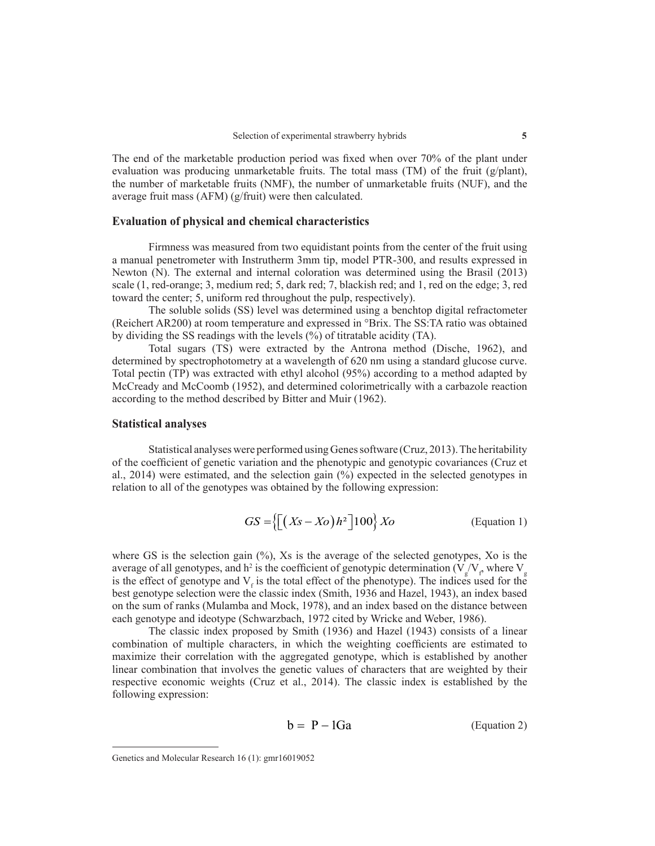The end of the marketable production period was fixed when over 70% of the plant under evaluation was producing unmarketable fruits. The total mass (TM) of the fruit (g/plant), the number of marketable fruits (NMF), the number of unmarketable fruits (NUF), and the average fruit mass (AFM) (g/fruit) were then calculated.

#### **Evaluation of physical and chemical characteristics**

Firmness was measured from two equidistant points from the center of the fruit using a manual penetrometer with Instrutherm 3mm tip, model PTR-300, and results expressed in Newton (N). The external and internal coloration was determined using the Brasil (2013) scale (1, red-orange; 3, medium red; 5, dark red; 7, blackish red; and 1, red on the edge; 3, red toward the center; 5, uniform red throughout the pulp, respectively).

The soluble solids (SS) level was determined using a benchtop digital refractometer (Reichert AR200) at room temperature and expressed in °Brix. The SS:TA ratio was obtained by dividing the SS readings with the levels (%) of titratable acidity (TA).

Total sugars (TS) were extracted by the Antrona method (Dische, 1962), and determined by spectrophotometry at a wavelength of 620 nm using a standard glucose curve. Total pectin (TP) was extracted with ethyl alcohol (95%) according to a method adapted by McCready and McCoomb (1952), and determined colorimetrically with a carbazole reaction according to the method described by Bitter and Muir (1962).

### **Statistical analyses**

Statistical analyses were performed using Genes software (Cruz, 2013). The heritability of the coefficient of genetic variation and the phenotypic and genotypic covariances (Cruz et al., 2014) were estimated, and the selection gain (%) expected in the selected genotypes in relation to all of the genotypes was obtained by the following expression:

$$
GS = \left\{ \left[ \left( Xs - Xo \right)h^2 \right] 100 \right\} Xo \tag{Equation 1}
$$

where GS is the selection gain  $(\%)$ , Xs is the average of the selected genotypes, Xo is the average of all genotypes, and h<sup>2</sup> is the coefficient of genotypic determination ( $V_g/V_p$ , where  $V_g$ is the effect of genotype and  $V<sub>f</sub>$  is the total effect of the phenotype). The indices used for the best genotype selection were the classic index (Smith, 1936 and Hazel, 1943), an index based on the sum of ranks (Mulamba and Mock, 1978), and an index based on the distance between each genotype and ideotype (Schwarzbach, 1972 cited by Wricke and Weber, 1986).

The classic index proposed by Smith (1936) and Hazel (1943) consists of a linear combination of multiple characters, in which the weighting coefficients are estimated to maximize their correlation with the aggregated genotype, which is established by another linear combination that involves the genetic values of characters that are weighted by their respective economic weights (Cruz et al., 2014). The classic index is established by the following expression:

$$
b = P - 1Ga \t\t (Equation 2)
$$

Genetics and Molecular Research 16 (1): gmr16019052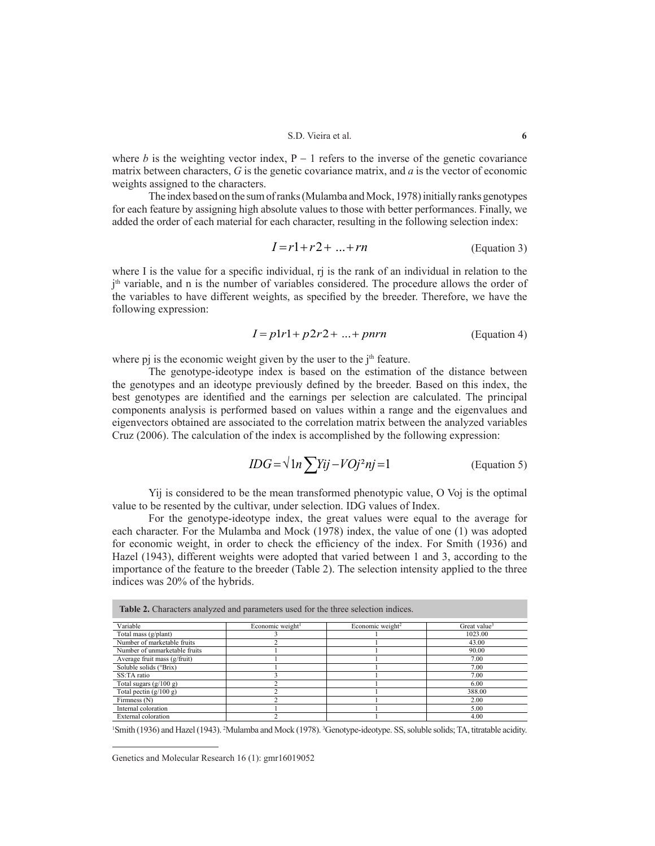where *b* is the weighting vector index,  $P - 1$  refers to the inverse of the genetic covariance matrix between characters, *G* is the genetic covariance matrix, and *a* is the vector of economic weights assigned to the characters.

The index based on the sum of ranks (Mulamba and Mock, 1978) initially ranks genotypes for each feature by assigning high absolute values to those with better performances. Finally, we added the order of each material for each character, resulting in the following selection index:

$$
I = r1 + r2 + \dots + rn \tag{Equation 3}
$$

where I is the value for a specific individual, rj is the rank of an individual in relation to the j<sup>th</sup> variable, and n is the number of variables considered. The procedure allows the order of the variables to have different weights, as specified by the breeder. Therefore, we have the following expression:

$$
I = p1r1 + p2r2 + \dots + pnrn
$$
 (Equation 4)

where  $pi$  is the economic weight given by the user to the  $j<sup>th</sup>$  feature.

The genotype-ideotype index is based on the estimation of the distance between the genotypes and an ideotype previously defined by the breeder. Based on this index, the best genotypes are identified and the earnings per selection are calculated. The principal components analysis is performed based on values within a range and the eigenvalues and eigenvectors obtained are associated to the correlation matrix between the analyzed variables Cruz (2006). The calculation of the index is accomplished by the following expression:

$$
IDG = \sqrt{ln \sum Yij - VOj^2 nj} = 1
$$
 (Equation 5)

Yij is considered to be the mean transformed phenotypic value, O Voj is the optimal value to be resented by the cultivar, under selection. IDG values of Index.

For the genotype-ideotype index, the great values were equal to the average for each character. For the Mulamba and Mock (1978) index, the value of one (1) was adopted for economic weight, in order to check the efficiency of the index. For Smith (1936) and Hazel (1943), different weights were adopted that varied between 1 and 3, according to the importance of the feature to the breeder (Table 2). The selection intensity applied to the three indices was 20% of the hybrids.

| <b>Table 2.</b> Characters analyzed and parameters used for the three selection indices. |                              |                              |                          |
|------------------------------------------------------------------------------------------|------------------------------|------------------------------|--------------------------|
| Variable                                                                                 | Economic weight <sup>1</sup> | Economic weight <sup>2</sup> | Great value <sup>3</sup> |
| Total mass (g/plant)                                                                     |                              |                              | 1023.00                  |
| Number of marketable fruits                                                              |                              |                              | 43.00                    |
| Number of unmarketable fruits                                                            |                              |                              | 90.00                    |
| Average fruit mass (g/fruit)                                                             |                              |                              | 7.00                     |
| Soluble solids (°Brix)                                                                   |                              |                              | 7.00                     |
| SS:TA ratio                                                                              |                              |                              | 7.00                     |
| Total sugars $(g/100 g)$                                                                 |                              |                              | 6.00                     |
| Total pectin $(g/100 g)$                                                                 |                              |                              | 388.00                   |
| Firmness (N)                                                                             |                              |                              | 2.00                     |
| Internal coloration                                                                      |                              |                              | 5.00                     |
| External coloration                                                                      |                              |                              | 4.00                     |

1 Smith (1936) and Hazel (1943). 2 Mulamba and Mock (1978). 3 Genotype-ideotype. SS, soluble solids; TA, titratable acidity.

Genetics and Molecular Research 16 (1): gmr16019052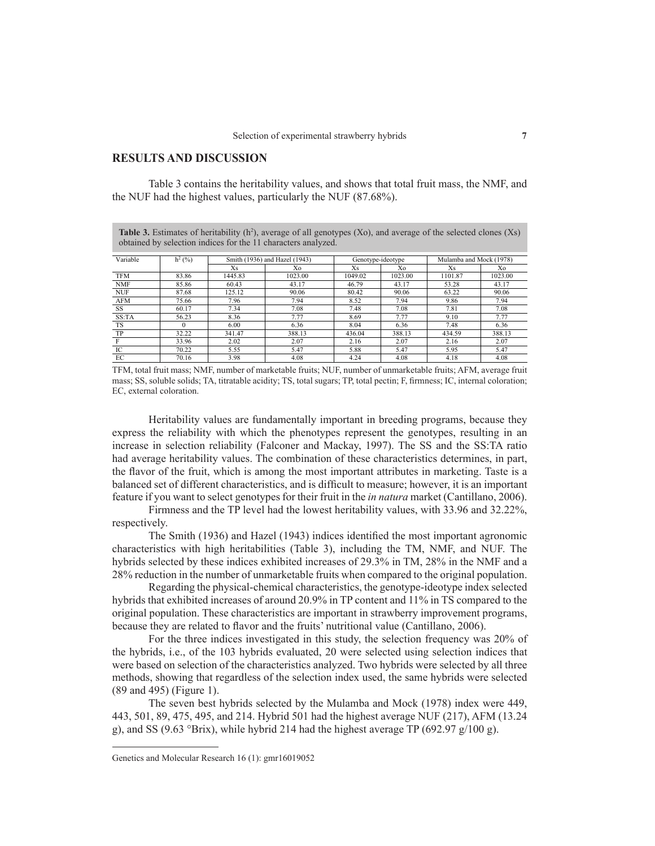# **RESULTS AND DISCUSSION**

Table 3 contains the heritability values, and shows that total fruit mass, the NMF, and the NUF had the highest values, particularly the NUF (87.68%).

**Table 3.** Estimates of heritability  $(h^2)$ , average of all genotypes  $(Xo)$ , and average of the selected clones  $(Xs)$ obtained by selection indices for the 11 characters analyzed.

| Variable   | $h^2(%)$ | Smith (1936) and Hazel (1943) |         | Genotype-ideotype |         | Mulamba and Mock (1978) |         |  |
|------------|----------|-------------------------------|---------|-------------------|---------|-------------------------|---------|--|
|            |          | Xs                            | Xo      | Xs                | Xo      | Xs.                     | Xo      |  |
| <b>TFM</b> | 83.86    | 1445.83                       | 1023.00 | 1049.02           | 1023.00 | 1101.87                 | 1023.00 |  |
| <b>NMF</b> | 85.86    | 60.43                         | 43.17   | 46.79             | 43.17   | 53.28                   | 43.17   |  |
| <b>NUF</b> | 87.68    | 125.12                        | 90.06   | 80.42             | 90.06   | 63.22                   | 90.06   |  |
| AFM        | 75.66    | 7.96                          | 7.94    | 8.52              | 7.94    | 9.86                    | 7.94    |  |
| SS         | 60.17    | 7.34                          | 7.08    | 7.48              | 7.08    | 7.81                    | 7.08    |  |
| SS:TA      | 56.23    | 8.36                          | 7.77    | 8.69              | 7.77    | 9.10                    | 7.77    |  |
| TS         | $\theta$ | 6.00                          | 6.36    | 8.04              | 6.36    | 7.48                    | 6.36    |  |
| TP         | 32.22    | 341.47                        | 388.13  | 436.04            | 388.13  | 434.59                  | 388.13  |  |
| F          | 33.96    | 2.02                          | 2.07    | 2.16              | 2.07    | 2.16                    | 2.07    |  |
| IC         | 70.22    | 5.55                          | 5.47    | 5.88              | 5.47    | 5.95                    | 5.47    |  |
| EC         | 70.16    | 3.98                          | 4.08    | 4 2 4             | 4.08    | 4.18                    | 4.08    |  |

TFM, total fruit mass; NMF, number of marketable fruits; NUF, number of unmarketable fruits; AFM, average fruit mass; SS, soluble solids; TA, titratable acidity; TS, total sugars; TP, total pectin; F, firmness; IC, internal coloration; EC, external coloration.

Heritability values are fundamentally important in breeding programs, because they express the reliability with which the phenotypes represent the genotypes, resulting in an increase in selection reliability (Falconer and Mackay, 1997). The SS and the SS:TA ratio had average heritability values. The combination of these characteristics determines, in part, the flavor of the fruit, which is among the most important attributes in marketing. Taste is a balanced set of different characteristics, and is difficult to measure; however, it is an important feature if you want to select genotypes for their fruit in the *in natura* market (Cantillano, 2006).

Firmness and the TP level had the lowest heritability values, with 33.96 and 32.22%, respectively.

The Smith (1936) and Hazel (1943) indices identified the most important agronomic characteristics with high heritabilities (Table 3), including the TM, NMF, and NUF. The hybrids selected by these indices exhibited increases of 29.3% in TM, 28% in the NMF and a 28% reduction in the number of unmarketable fruits when compared to the original population.

Regarding the physical-chemical characteristics, the genotype-ideotype index selected hybrids that exhibited increases of around 20.9% in TP content and 11% in TS compared to the original population. These characteristics are important in strawberry improvement programs, because they are related to flavor and the fruits' nutritional value (Cantillano, 2006).

For the three indices investigated in this study, the selection frequency was 20% of the hybrids, i.e., of the 103 hybrids evaluated, 20 were selected using selection indices that were based on selection of the characteristics analyzed. Two hybrids were selected by all three methods, showing that regardless of the selection index used, the same hybrids were selected (89 and 495) (Figure 1).

The seven best hybrids selected by the Mulamba and Mock (1978) index were 449, 443, 501, 89, 475, 495, and 214. Hybrid 501 had the highest average NUF (217), AFM (13.24 g), and SS (9.63 °Brix), while hybrid 214 had the highest average TP (692.97 g/100 g).

Genetics and Molecular Research 16 (1): gmr16019052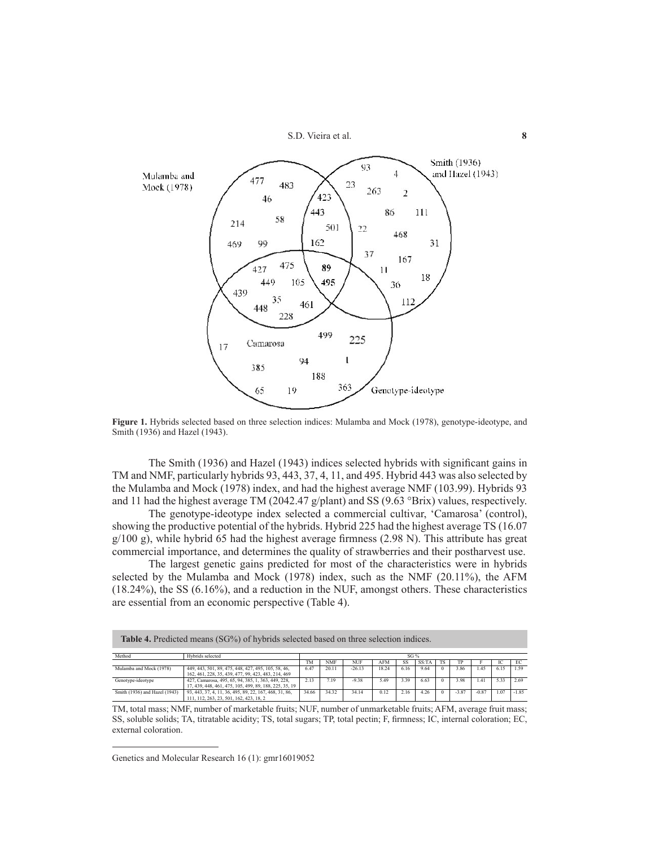

**Figure 1.** Hybrids selected based on three selection indices: Mulamba and Mock (1978), genotype-ideotype, and Smith (1936) and Hazel (1943).

The Smith (1936) and Hazel (1943) indices selected hybrids with significant gains in TM and NMF, particularly hybrids 93, 443, 37, 4, 11, and 495. Hybrid 443 was also selected by the Mulamba and Mock (1978) index, and had the highest average NMF (103.99). Hybrids 93 and 11 had the highest average TM (2042.47 g/plant) and SS (9.63 °Brix) values, respectively.

The genotype-ideotype index selected a commercial cultivar, 'Camarosa' (control), showing the productive potential of the hybrids. Hybrid 225 had the highest average TS (16.07  $g/100$  g), while hybrid 65 had the highest average firmness (2.98 N). This attribute has great commercial importance, and determines the quality of strawberries and their postharvest use.

The largest genetic gains predicted for most of the characteristics were in hybrids selected by the Mulamba and Mock (1978) index, such as the NMF (20.11%), the AFM (18.24%), the SS (6.16%), and a reduction in the NUF, amongst others. These characteristics are essential from an economic perspective (Table 4).

| <b>Table 4.</b> Predicted means (SG%) of hybrids selected based on three selection indices. |                                                        |        |            |            |            |           |       |          |         |         |      |         |
|---------------------------------------------------------------------------------------------|--------------------------------------------------------|--------|------------|------------|------------|-----------|-------|----------|---------|---------|------|---------|
| Method                                                                                      | Hybrids selected                                       | $SG\%$ |            |            |            |           |       |          |         |         |      |         |
|                                                                                             |                                                        | TM     | <b>NMF</b> | <b>NUF</b> | <b>AFM</b> | <b>SS</b> | SS:TA | TS.      | TP      |         |      | EС      |
| Mulamba and Mock (1978)                                                                     | 449, 443, 501, 89, 475, 448, 427, 495, 105, 58, 46,    | 6.47   | 20.11      | $-26.13$   | 18.24      | 6.16      | 9.64  | $\Omega$ | 3.86    | i.45    | 6.15 | 1.59    |
|                                                                                             | 162, 461, 228, 35, 439, 477, 99, 423, 483, 214, 469    |        |            |            |            |           |       |          |         |         |      |         |
| Genotype-ideotype                                                                           | 427, Camarosa, 495, 65, 94, 385, 1, 363, 449, 228,     | 2.13   | 7.19       | $-9.38$    | 5.49       | 3.39      | 6.63  |          | 3.98    | 141     | 533  | 2.69    |
|                                                                                             | 17, 439, 448, 461, 475, 105, 499, 89, 188, 225, 35, 19 |        |            |            |            |           |       |          |         |         |      |         |
| Smith (1936) and Hazel (1943)                                                               | 93, 443, 37, 4, 11, 36, 495, 89, 22, 167, 468, 31, 86, | 34.66  | 34.32      | 34.14      | 0.12       | 2.16      | 4.26  |          | $-3.87$ | $-0.87$ | 1.07 | $-1.85$ |
|                                                                                             | 111, 112, 263, 23, 501, 162, 423, 18, 2                |        |            |            |            |           |       |          |         |         |      |         |

TM, total mass; NMF, number of marketable fruits; NUF, number of unmarketable fruits; AFM, average fruit mass; SS, soluble solids; TA, titratable acidity; TS, total sugars; TP, total pectin; F, firmness; IC, internal coloration; EC, external coloration.

Genetics and Molecular Research 16 (1): gmr16019052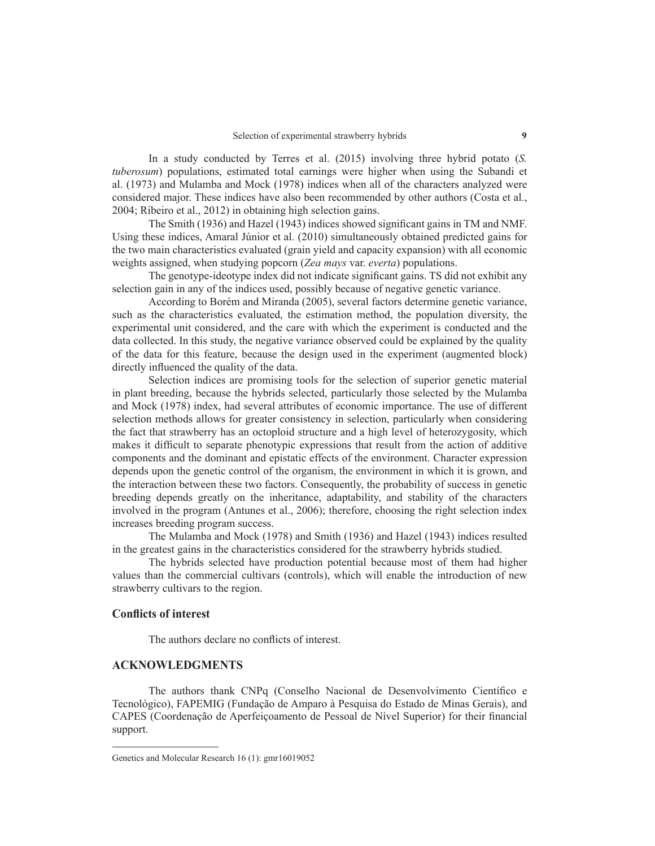In a study conducted by Terres et al. (2015) involving three hybrid potato (*S. tuberosum*) populations, estimated total earnings were higher when using the Subandi et al. (1973) and Mulamba and Mock (1978) indices when all of the characters analyzed were considered major. These indices have also been recommended by other authors (Costa et al., 2004; Ribeiro et al., 2012) in obtaining high selection gains.

The Smith (1936) and Hazel (1943) indices showed significant gains in TM and NMF. Using these indices, Amaral Júnior et al. (2010) simultaneously obtained predicted gains for the two main characteristics evaluated (grain yield and capacity expansion) with all economic weights assigned, when studying popcorn (*Zea mays* var. *everta*) populations.

The genotype-ideotype index did not indicate significant gains. TS did not exhibit any selection gain in any of the indices used, possibly because of negative genetic variance.

According to Borém and Miranda (2005), several factors determine genetic variance, such as the characteristics evaluated, the estimation method, the population diversity, the experimental unit considered, and the care with which the experiment is conducted and the data collected. In this study, the negative variance observed could be explained by the quality of the data for this feature, because the design used in the experiment (augmented block) directly influenced the quality of the data.

Selection indices are promising tools for the selection of superior genetic material in plant breeding, because the hybrids selected, particularly those selected by the Mulamba and Mock (1978) index, had several attributes of economic importance. The use of different selection methods allows for greater consistency in selection, particularly when considering the fact that strawberry has an octoploid structure and a high level of heterozygosity, which makes it difficult to separate phenotypic expressions that result from the action of additive components and the dominant and epistatic effects of the environment. Character expression depends upon the genetic control of the organism, the environment in which it is grown, and the interaction between these two factors. Consequently, the probability of success in genetic breeding depends greatly on the inheritance, adaptability, and stability of the characters involved in the program (Antunes et al., 2006); therefore, choosing the right selection index increases breeding program success.

The Mulamba and Mock (1978) and Smith (1936) and Hazel (1943) indices resulted in the greatest gains in the characteristics considered for the strawberry hybrids studied.

The hybrids selected have production potential because most of them had higher values than the commercial cultivars (controls), which will enable the introduction of new strawberry cultivars to the region.

## **Conflicts of interest**

The authors declare no conflicts of interest.

# **ACKNOWLEDGMENTS**

The authors thank CNPq (Conselho Nacional de Desenvolvimento Científico e Tecnológico), FAPEMIG (Fundação de Amparo à Pesquisa do Estado de Minas Gerais), and CAPES (Coordenação de Aperfeiçoamento de Pessoal de Nível Superior) for their financial support.

Genetics and Molecular Research 16 (1): gmr16019052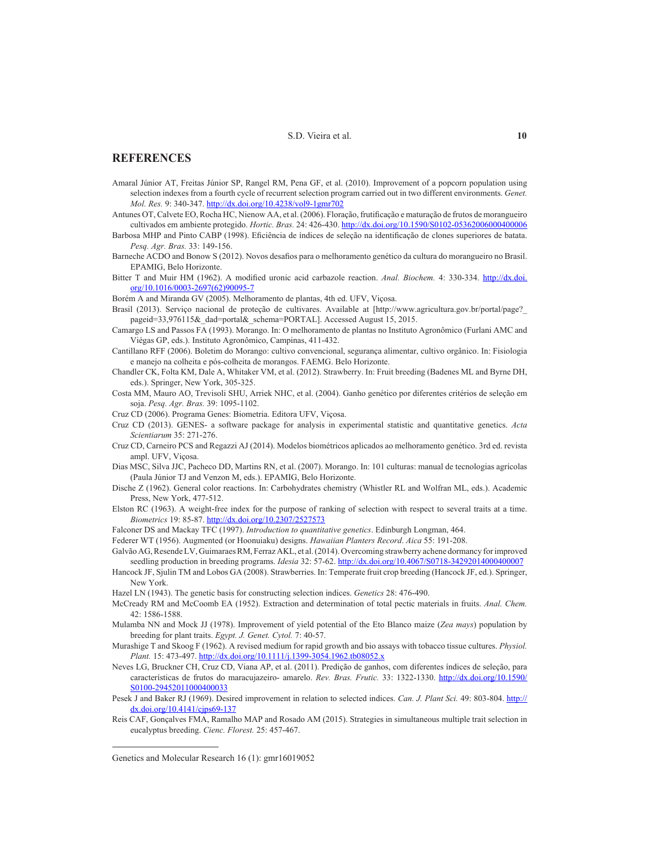# **REFERENCES**

- Amaral Júnior AT, Freitas Júnior SP, Rangel RM, Pena GF, et al. (2010). Improvement of a popcorn population using selection indexes from a fourth cycle of recurrent selection program carried out in two different environments. *Genet. Mol. Res.* 9: 340-347. http://dx.doi.org/10.4238/vol9-1gmr702
- Antunes OT, Calvete EO, Rocha HC, Nienow AA, et al. (2006). Floração, frutificação e maturação de frutos de morangueiro cultivados em ambiente protegido. *Hortic. Bras.* 24: 426-430. http://dx.doi.org/10.1590/S0102-05362006000400006
- Barbosa MHP and Pinto CABP (1998). Eficiência de índices de seleção na identificação de clones superiores de batata. *Pesq. Agr. Bras.* 33: 149-156.
- Barneche ACDO and Bonow S (2012). Novos desafios para o melhoramento genético da cultura do morangueiro no Brasil. EPAMIG, Belo Horizonte.

Bitter T and Muir HM (1962). A modified uronic acid carbazole reaction. *Anal. Biochem.* 4: 330-334. http://dx.doi. org/10.1016/0003-2697(62)90095-7

Borém A and Miranda GV (2005). Melhoramento de plantas, 4th ed. UFV, Viçosa.

- Brasil (2013). Serviço nacional de proteção de cultivares. Available at [http://www.agricultura.gov.br/portal/page?\_ pageid=33,976115&\_dad=portal&\_schema=PORTAL]. Accessed August 15, 2015.
- Camargo LS and Passos FA (1993). Morango. In: O melhoramento de plantas no Instituto Agronômico (Furlani AMC and Viégas GP, eds.). Instituto Agronômico, Campinas, 411-432.
- Cantillano RFF (2006). Boletim do Morango: cultivo convencional, segurança alimentar, cultivo orgânico. In: Fisiologia e manejo na colheita e pós-colheita de morangos. FAEMG. Belo Horizonte.
- Chandler CK, Folta KM, Dale A, Whitaker VM, et al. (2012). Strawberry. In: Fruit breeding (Badenes ML and Byrne DH, eds.). Springer, New York, 305-325.
- Costa MM, Mauro AO, Trevisoli SHU, Arriek NHC, et al. (2004). Ganho genético por diferentes critérios de seleção em soja. *Pesq. Agr. Bras.* 39: 1095-1102.
- Cruz CD (2006). Programa Genes: Biometria. Editora UFV, Viçosa.
- Cruz CD (2013). GENES- a software package for analysis in experimental statistic and quantitative genetics. *Acta Scientiarum* 35: 271-276.
- Cruz CD, Carneiro PCS and Regazzi AJ (2014). Modelos biométricos aplicados ao melhoramento genético. 3rd ed. revista ampl. UFV, Viçosa.
- Dias MSC, Silva JJC, Pacheco DD, Martins RN, et al. (2007). Morango. In: 101 culturas: manual de tecnologias agrícolas (Paula Júnior TJ and Venzon M, eds.). EPAMIG, Belo Horizonte.
- Dische Z (1962). General color reactions. In: Carbohydrates chemistry (Whistler RL and Wolfran ML, eds.). Academic Press, New York, 477-512.
- Elston RC (1963). A weight-free index for the purpose of ranking of selection with respect to several traits at a time. *Biometrics* 19: 85-87. http://dx.doi.org/10.2307/2527573
- Falconer DS and Mackay TFC (1997). *Introduction to quantitative genetics*. Edinburgh Longman, 464.
- Federer WT (1956). Augmented (or Hoonuiaku) designs. *Hawaiian Planters Record*. *Aica* 55: 191-208.
- Galvão AG, Resende LV, Guimaraes RM, Ferraz AKL, et al. (2014). Overcoming strawberry achene dormancy for improved seedling production in breeding programs. *Idesia* 32: 57-62. http://dx.doi.org/10.4067/S0718-34292014000400007
- Hancock JF, Sjulin TM and Lobos GA (2008). Strawberries. In: Temperate fruit crop breeding (Hancock JF, ed.). Springer, New York.
- Hazel LN (1943). The genetic basis for constructing selection indices. *Genetics* 28: 476-490.
- McCready RM and McCoomb EA (1952). Extraction and determination of total pectic materials in fruits. *Anal. Chem.* 42: 1586-1588.
- Mulamba NN and Mock JJ (1978). Improvement of yield potential of the Eto Blanco maize (*Zea mays*) population by breeding for plant traits. *Egypt. J. Genet. Cytol.* 7: 40-57.
- Murashige T and Skoog F (1962). A revised medium for rapid growth and bio assays with tobacco tissue cultures. *Physiol. Plant.* 15: 473-497. http://dx.doi.org/10.1111/j.1399-3054.1962.tb08052.x
- Neves LG, Bruckner CH, Cruz CD, Viana AP, et al. (2011). Predição de ganhos, com diferentes índices de seleção, para características de frutos do maracujazeiro- amarelo. *Rev. Bras. Frutic.* 33: 1322-1330. http://dx.doi.org/10.1590/ S0100-29452011000400033
- Pesek J and Baker RJ (1969). Desired improvement in relation to selected indices. *Can. J. Plant Sci.* 49: 803-804. http:// dx.doi.org/10.4141/cjps69-137
- Reis CAF, Gonçalves FMA, Ramalho MAP and Rosado AM (2015). Strategies in simultaneous multiple trait selection in eucalyptus breeding. *Cienc. Florest.* 25: 457-467.

Genetics and Molecular Research 16 (1): gmr16019052